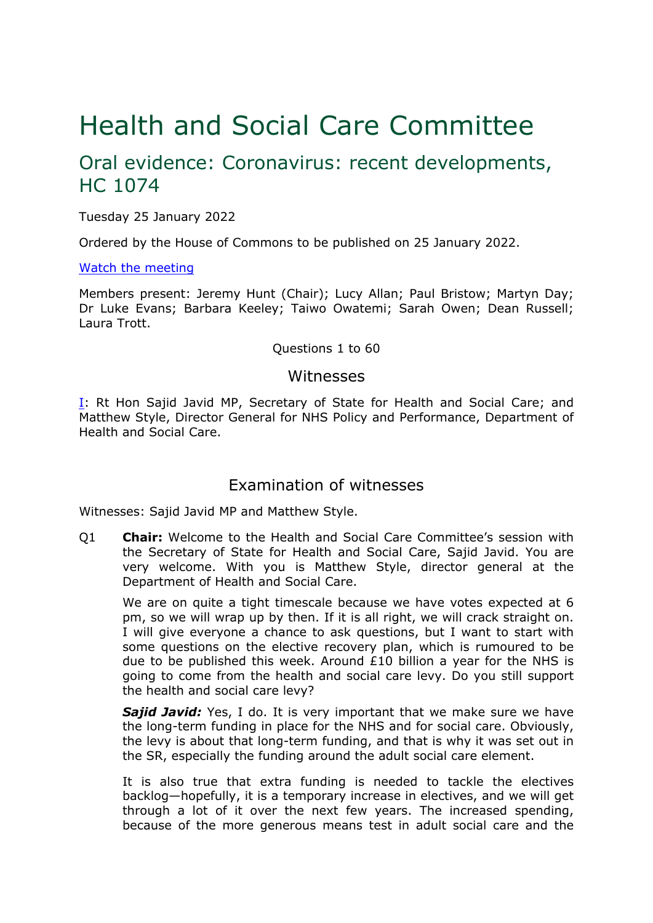# Health and Social Care Committee

# Oral evidence: Coronavirus: recent developments, HC 1074

Tuesday 25 January 2022

Ordered by the House of Commons to be published on 25 January 2022.

#### [Watch](https://www.parliamentlive.tv/Event/Index/de8fd5c1-619a-4569-ade1-ee6433d0dc3c) [the](https://www.parliamentlive.tv/Event/Index/de8fd5c1-619a-4569-ade1-ee6433d0dc3c) [meeting](https://www.parliamentlive.tv/Event/Index/de8fd5c1-619a-4569-ade1-ee6433d0dc3c)

Members present: Jeremy Hunt (Chair); Lucy Allan; Paul Bristow; Martyn Day; Dr Luke Evans; Barbara Keeley; Taiwo Owatemi; Sarah Owen; Dean Russell; Laura Trott.

#### Questions 1 to 60

### Witnesses

[I:](#page-0-0) Rt Hon Sajid Javid MP, Secretary of State for Health and Social Care; and Matthew Style, Director General for NHS Policy and Performance, Department of Health and Social Care.

# <span id="page-0-0"></span>Examination of witnesses

Witnesses: Sajid Javid MP and Matthew Style.

Q1 **Chair:** Welcome to the Health and Social Care Committee's session with the Secretary of State for Health and Social Care, Sajid Javid. You are very welcome. With you is Matthew Style, director general at the Department of Health and Social Care.

We are on quite a tight timescale because we have votes expected at 6 pm, so we will wrap up by then. If it is all right, we will crack straight on. I will give everyone a chance to ask questions, but I want to start with some questions on the elective recovery plan, which is rumoured to be due to be published this week. Around  $E10$  billion a year for the NHS is going to come from the health and social care levy. Do you still support the health and social care levy?

**Sajid Javid:** Yes, I do. It is very important that we make sure we have the long-term funding in place for the NHS and for social care. Obviously, the levy is about that long-term funding, and that is why it was set out in the SR, especially the funding around the adult social care element.

It is also true that extra funding is needed to tackle the electives backlog—hopefully, it is a temporary increase in electives, and we will get through a lot of it over the next few years. The increased spending, because of the more generous means test in adult social care and the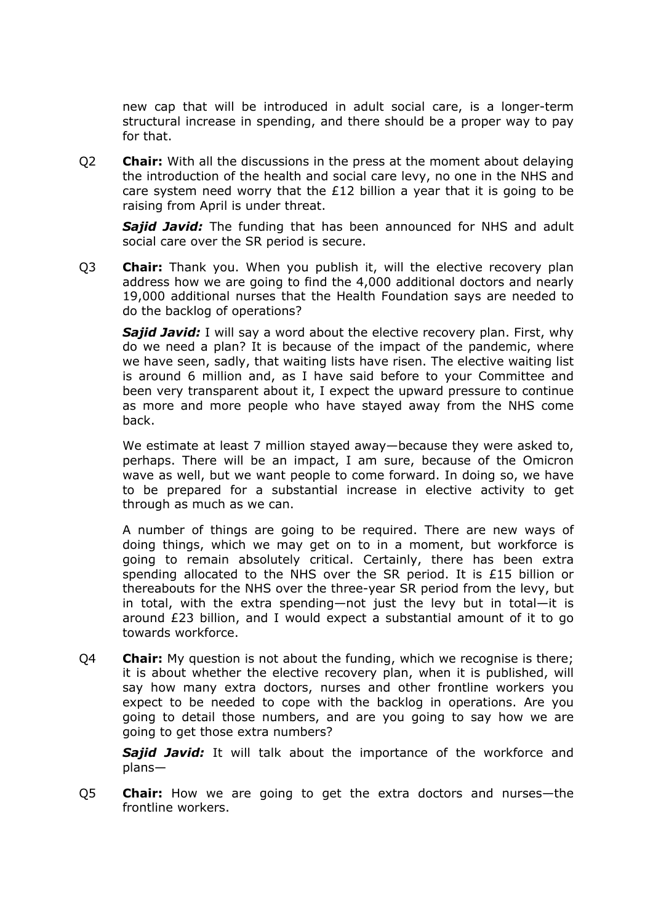new cap that will be introduced in adult social care, is a longer-term structural increase in spending, and there should be a proper way to pay for that.

Q2 **Chair:** With all the discussions in the press at the moment about delaying the introduction of the health and social care levy, no one in the NHS and care system need worry that the  $£12$  billion a year that it is going to be raising from April is under threat.

*Sajid Javid:* The funding that has been announced for NHS and adult social care over the SR period is secure.

Q3 **Chair:** Thank you. When you publish it, will the elective recovery plan address how we are going to find the 4,000 additional doctors and nearly 19,000 additional nurses that the Health Foundation says are needed to do the backlog of operations?

**Sajid Javid:** I will say a word about the elective recovery plan. First, why do we need a plan? It is because of the impact of the pandemic, where we have seen, sadly, that waiting lists have risen. The elective waiting list is around 6 million and, as I have said before to your Committee and been very transparent about it, I expect the upward pressure to continue as more and more people who have stayed away from the NHS come back.

We estimate at least 7 million stayed away—because they were asked to, perhaps. There will be an impact, I am sure, because of the Omicron wave as well, but we want people to come forward. In doing so, we have to be prepared for a substantial increase in elective activity to get through as much as we can.

A number of things are going to be required. There are new ways of doing things, which we may get on to in a moment, but workforce is going to remain absolutely critical. Certainly, there has been extra spending allocated to the NHS over the SR period. It is £15 billion or thereabouts for the NHS over the three-year SR period from the levy, but in total, with the extra spending—not just the levy but in total—it is around £23 billion, and I would expect a substantial amount of it to go towards workforce.

Q4 **Chair:** My question is not about the funding, which we recognise is there; it is about whether the elective recovery plan, when it is published, will say how many extra doctors, nurses and other frontline workers you expect to be needed to cope with the backlog in operations. Are you going to detail those numbers, and are you going to say how we are going to get those extra numbers?

*Sajid Javid:* It will talk about the importance of the workforce and plans—

Q5 **Chair:** How we are going to get the extra doctors and nurses—the frontline workers.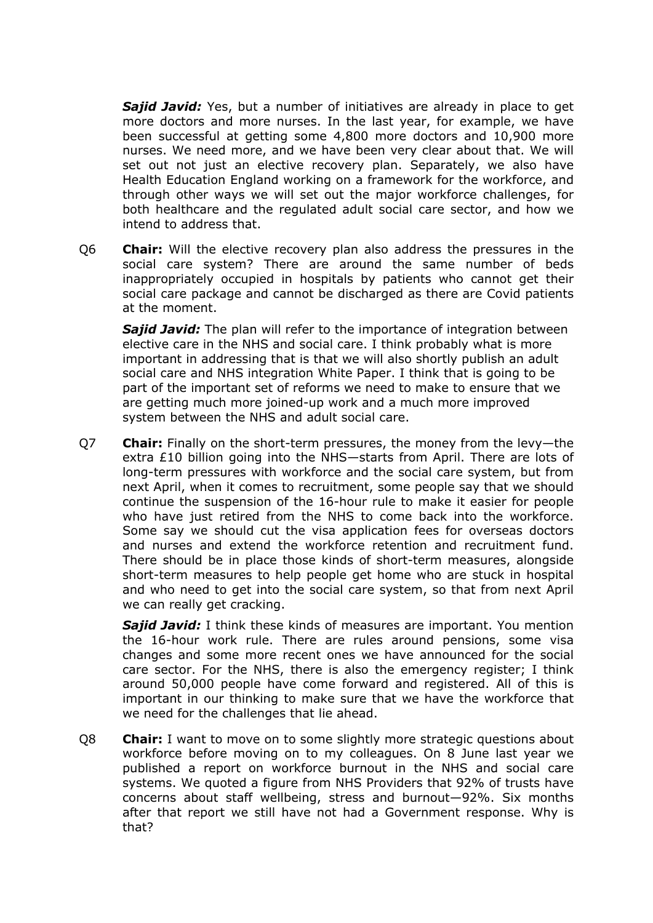*Sajid Javid:* Yes, but a number of initiatives are already in place to get more doctors and more nurses. In the last year, for example, we have been successful at getting some 4,800 more doctors and 10,900 more nurses. We need more, and we have been very clear about that. We will set out not just an elective recovery plan. Separately, we also have Health Education England working on a framework for the workforce, and through other ways we will set out the major workforce challenges, for both healthcare and the regulated adult social care sector, and how we intend to address that.

Q6 **Chair:** Will the elective recovery plan also address the pressures in the social care system? There are around the same number of beds inappropriately occupied in hospitals by patients who cannot get their social care package and cannot be discharged as there are Covid patients at the moment.

*Sajid Javid:* The plan will refer to the importance of integration between elective care in the NHS and social care. I think probably what is more important in addressing that is that we will also shortly publish an adult social care and NHS integration White Paper. I think that is going to be part of the important set of reforms we need to make to ensure that we are getting much more joined-up work and a much more improved system between the NHS and adult social care.

Q7 **Chair:** Finally on the short-term pressures, the money from the levy—the extra £10 billion going into the NHS—starts from April. There are lots of long-term pressures with workforce and the social care system, but from next April, when it comes to recruitment, some people say that we should continue the suspension of the 16-hour rule to make it easier for people who have just retired from the NHS to come back into the workforce. Some say we should cut the visa application fees for overseas doctors and nurses and extend the workforce retention and recruitment fund. There should be in place those kinds of short-term measures, alongside short-term measures to help people get home who are stuck in hospital and who need to get into the social care system, so that from next April we can really get cracking.

**Sajid Javid:** I think these kinds of measures are important. You mention the 16-hour work rule. There are rules around pensions, some visa changes and some more recent ones we have announced for the social care sector. For the NHS, there is also the emergency register; I think around 50,000 people have come forward and registered. All of this is important in our thinking to make sure that we have the workforce that we need for the challenges that lie ahead.

Q8 **Chair:** I want to move on to some slightly more strategic questions about workforce before moving on to my colleagues. On 8 June last year we published a report on workforce burnout in the NHS and social care systems. We quoted a figure from NHS Providers that 92% of trusts have concerns about staff wellbeing, stress and burnout—92%. Six months after that report we still have not had a Government response. Why is that?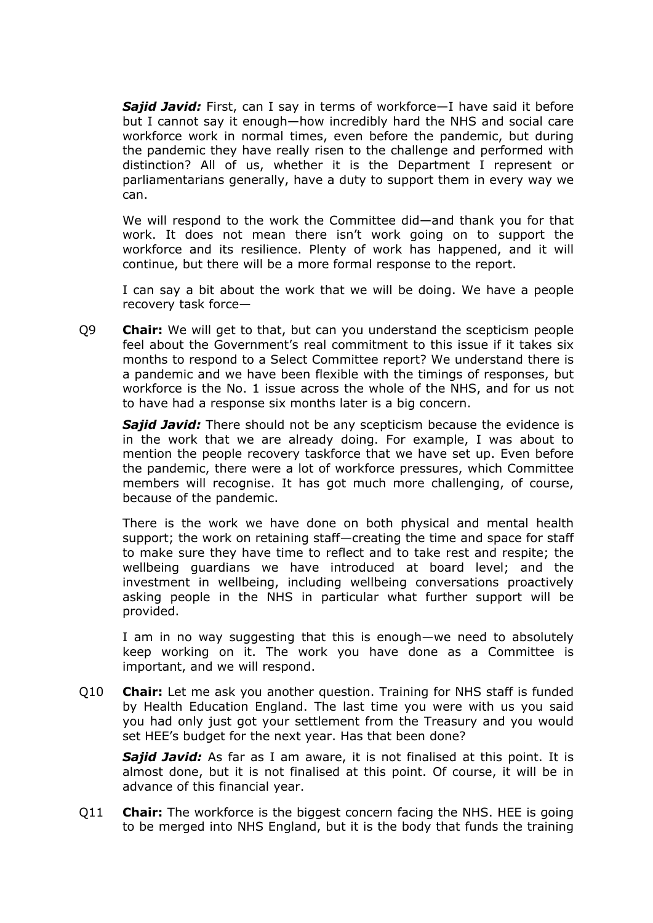*Sajid Javid:* First, can I say in terms of workforce—I have said it before but I cannot say it enough—how incredibly hard the NHS and social care workforce work in normal times, even before the pandemic, but during the pandemic they have really risen to the challenge and performed with distinction? All of us, whether it is the Department I represent or parliamentarians generally, have a duty to support them in every way we can.

We will respond to the work the Committee did—and thank you for that work. It does not mean there isn't work going on to support the workforce and its resilience. Plenty of work has happened, and it will continue, but there will be a more formal response to the report.

I can say a bit about the work that we will be doing. We have a people recovery task force—

Q9 **Chair:** We will get to that, but can you understand the scepticism people feel about the Government's real commitment to this issue if it takes six months to respond to a Select Committee report? We understand there is a pandemic and we have been flexible with the timings of responses, but workforce is the No. 1 issue across the whole of the NHS, and for us not to have had a response six months later is a big concern.

**Sajid Javid:** There should not be any scepticism because the evidence is in the work that we are already doing. For example, I was about to mention the people recovery taskforce that we have set up. Even before the pandemic, there were a lot of workforce pressures, which Committee members will recognise. It has got much more challenging, of course, because of the pandemic.

There is the work we have done on both physical and mental health support; the work on retaining staff—creating the time and space for staff to make sure they have time to reflect and to take rest and respite; the wellbeing guardians we have introduced at board level; and the investment in wellbeing, including wellbeing conversations proactively asking people in the NHS in particular what further support will be provided.

I am in no way suggesting that this is enough—we need to absolutely keep working on it. The work you have done as a Committee is important, and we will respond.

Q10 **Chair:** Let me ask you another question. Training for NHS staff is funded by Health Education England. The last time you were with us you said you had only just got your settlement from the Treasury and you would set HEE's budget for the next year. Has that been done?

*Sajid Javid:* As far as I am aware, it is not finalised at this point. It is almost done, but it is not finalised at this point. Of course, it will be in advance of this financial year.

Q11 **Chair:** The workforce is the biggest concern facing the NHS. HEE is going to be merged into NHS England, but it is the body that funds the training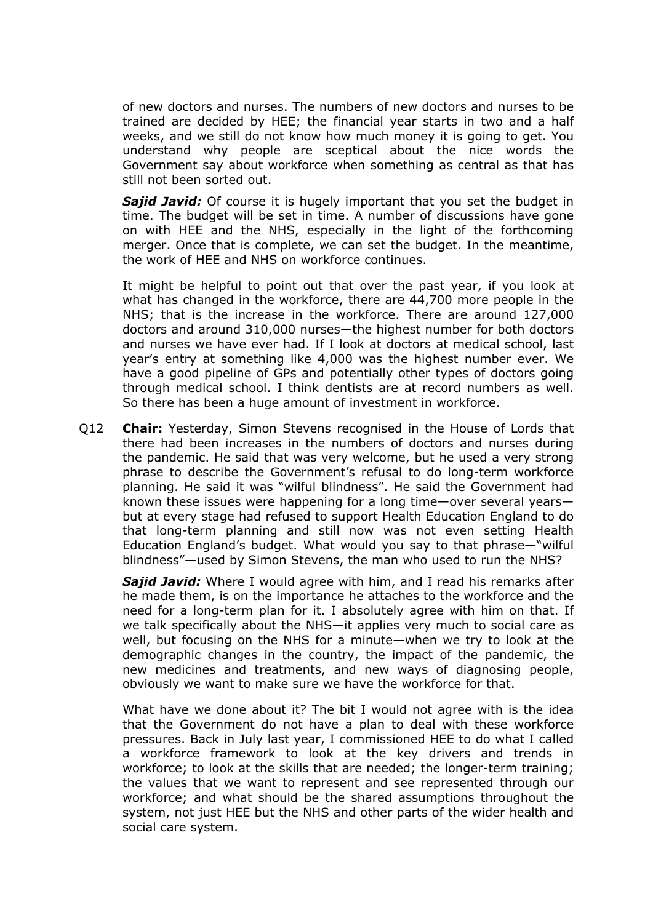of new doctors and nurses. The numbers of new doctors and nurses to be trained are decided by HEE; the financial year starts in two and a half weeks, and we still do not know how much money it is going to get. You understand why people are sceptical about the nice words the Government say about workforce when something as central as that has still not been sorted out.

*Sajid Javid:* Of course it is hugely important that you set the budget in time. The budget will be set in time. A number of discussions have gone on with HEE and the NHS, especially in the light of the forthcoming merger. Once that is complete, we can set the budget. In the meantime, the work of HEE and NHS on workforce continues.

It might be helpful to point out that over the past year, if you look at what has changed in the workforce, there are 44,700 more people in the NHS; that is the increase in the workforce. There are around 127,000 doctors and around 310,000 nurses—the highest number for both doctors and nurses we have ever had. If I look at doctors at medical school, last year's entry at something like 4,000 was the highest number ever. We have a good pipeline of GPs and potentially other types of doctors going through medical school. I think dentists are at record numbers as well. So there has been a huge amount of investment in workforce.

Q12 **Chair:** Yesterday, Simon Stevens recognised in the House of Lords that there had been increases in the numbers of doctors and nurses during the pandemic. He said that was very welcome, but he used a very strong phrase to describe the Government's refusal to do long-term workforce planning. He said it was "wilful blindness". He said the Government had known these issues were happening for a long time—over several years but at every stage had refused to support Health Education England to do that long-term planning and still now was not even setting Health Education England's budget. What would you say to that phrase—"wilful blindness"—used by Simon Stevens, the man who used to run the NHS?

*Sajid Javid:* Where I would agree with him, and I read his remarks after he made them, is on the importance he attaches to the workforce and the need for a long-term plan for it. I absolutely agree with him on that. If we talk specifically about the NHS—it applies very much to social care as well, but focusing on the NHS for a minute—when we try to look at the demographic changes in the country, the impact of the pandemic, the new medicines and treatments, and new ways of diagnosing people, obviously we want to make sure we have the workforce for that.

What have we done about it? The bit I would not agree with is the idea that the Government do not have a plan to deal with these workforce pressures. Back in July last year, I commissioned HEE to do what I called a workforce framework to look at the key drivers and trends in workforce; to look at the skills that are needed; the longer-term training; the values that we want to represent and see represented through our workforce; and what should be the shared assumptions throughout the system, not just HEE but the NHS and other parts of the wider health and social care system.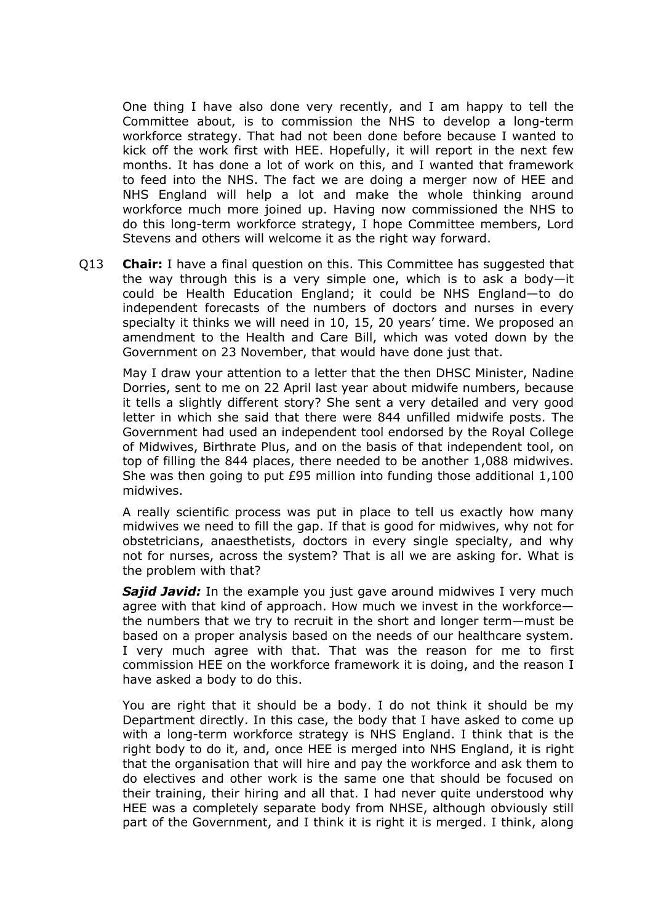One thing I have also done very recently, and I am happy to tell the Committee about, is to commission the NHS to develop a long-term workforce strategy. That had not been done before because I wanted to kick off the work first with HEE. Hopefully, it will report in the next few months. It has done a lot of work on this, and I wanted that framework to feed into the NHS. The fact we are doing a merger now of HEE and NHS England will help a lot and make the whole thinking around workforce much more joined up. Having now commissioned the NHS to do this long-term workforce strategy, I hope Committee members, Lord Stevens and others will welcome it as the right way forward.

Q13 **Chair:** I have a final question on this. This Committee has suggested that the way through this is a very simple one, which is to ask a body—it could be Health Education England; it could be NHS England—to do independent forecasts of the numbers of doctors and nurses in every specialty it thinks we will need in 10, 15, 20 years' time. We proposed an amendment to the Health and Care Bill, which was voted down by the Government on 23 November, that would have done just that.

May I draw your attention to a letter that the then DHSC Minister, Nadine Dorries, sent to me on 22 April last year about midwife numbers, because it tells a slightly different story? She sent a very detailed and very good letter in which she said that there were 844 unfilled midwife posts. The Government had used an independent tool endorsed by the Royal College of Midwives, Birthrate Plus, and on the basis of that independent tool, on top of filling the 844 places, there needed to be another 1,088 midwives. She was then going to put £95 million into funding those additional 1,100 midwives.

A really scientific process was put in place to tell us exactly how many midwives we need to fill the gap. If that is good for midwives, why not for obstetricians, anaesthetists, doctors in every single specialty, and why not for nurses, across the system? That is all we are asking for. What is the problem with that?

*Sajid Javid:* In the example you just gave around midwives I very much agree with that kind of approach. How much we invest in the workforce the numbers that we try to recruit in the short and longer term—must be based on a proper analysis based on the needs of our healthcare system. I very much agree with that. That was the reason for me to first commission HEE on the workforce framework it is doing, and the reason I have asked a body to do this.

You are right that it should be a body. I do not think it should be my Department directly. In this case, the body that I have asked to come up with a long-term workforce strategy is NHS England. I think that is the right body to do it, and, once HEE is merged into NHS England, it is right that the organisation that will hire and pay the workforce and ask them to do electives and other work is the same one that should be focused on their training, their hiring and all that. I had never quite understood why HEE was a completely separate body from NHSE, although obviously still part of the Government, and I think it is right it is merged. I think, along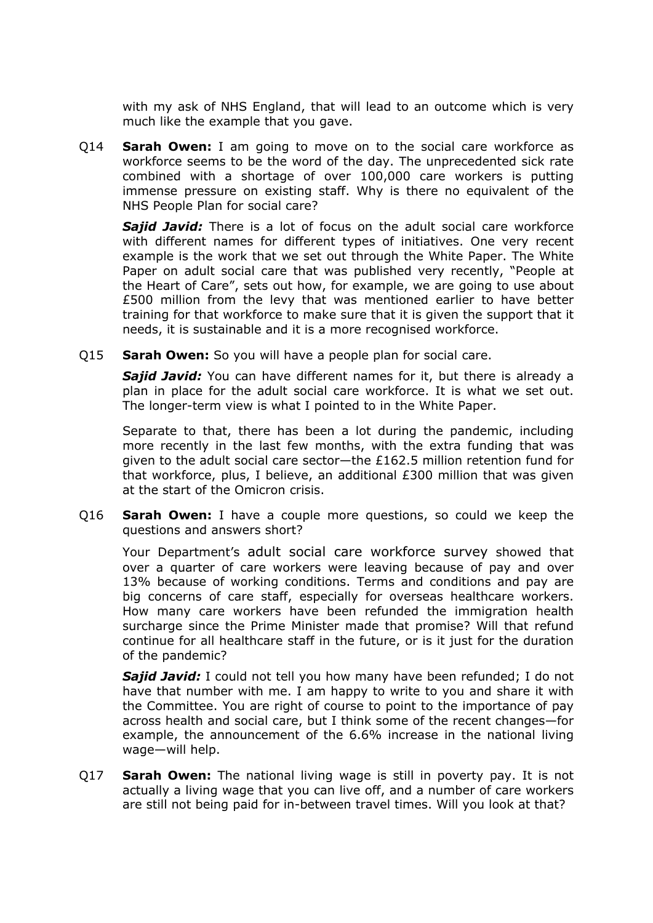with my ask of NHS England, that will lead to an outcome which is very much like the example that you gave.

Q14 **Sarah Owen:** I am going to move on to the social care workforce as workforce seems to be the word of the day. The unprecedented sick rate combined with a shortage of over 100,000 care workers is putting immense pressure on existing staff. Why is there no equivalent of the NHS People Plan for social care?

*Sajid Javid:* There is a lot of focus on the adult social care workforce with different names for different types of initiatives. One very recent example is the work that we set out through the White Paper. The White Paper on adult social care that was published very recently, "People at the Heart of Care", sets out how, for example, we are going to use about £500 million from the levy that was mentioned earlier to have better training for that workforce to make sure that it is given the support that it needs, it is sustainable and it is a more recognised workforce.

Q15 **Sarah Owen:** So you will have a people plan for social care.

*Sajid Javid:* You can have different names for it, but there is already a plan in place for the adult social care workforce. It is what we set out. The longer-term view is what I pointed to in the White Paper.

Separate to that, there has been a lot during the pandemic, including more recently in the last few months, with the extra funding that was given to the adult social care sector—the £162.5 million retention fund for that workforce, plus, I believe, an additional £300 million that was given at the start of the Omicron crisis.

Q16 **Sarah Owen:** I have a couple more questions, so could we keep the questions and answers short?

Your Department's adult social care workforce survey showed that over a quarter of care workers were leaving because of pay and over 13% because of working conditions. Terms and conditions and pay are big concerns of care staff, especially for overseas healthcare workers. How many care workers have been refunded the immigration health surcharge since the Prime Minister made that promise? Will that refund continue for all healthcare staff in the future, or is it just for the duration of the pandemic?

**Sajid Javid:** I could not tell you how many have been refunded; I do not have that number with me. I am happy to write to you and share it with the Committee. You are right of course to point to the importance of pay across health and social care, but I think some of the recent changes—for example, the announcement of the 6.6% increase in the national living wage—will help.

Q17 **Sarah Owen:** The national living wage is still in poverty pay. It is not actually a living wage that you can live off, and a number of care workers are still not being paid for in-between travel times. Will you look at that?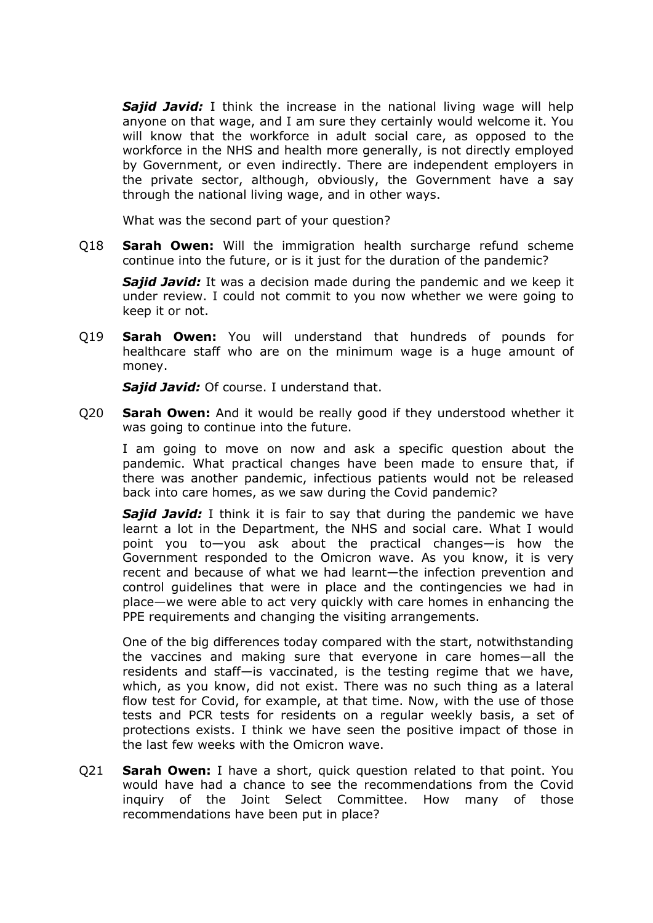*Sajid Javid:* I think the increase in the national living wage will help anyone on that wage, and I am sure they certainly would welcome it. You will know that the workforce in adult social care, as opposed to the workforce in the NHS and health more generally, is not directly employed by Government, or even indirectly. There are independent employers in the private sector, although, obviously, the Government have a say through the national living wage, and in other ways.

What was the second part of your question?

Q18 **Sarah Owen:** Will the immigration health surcharge refund scheme continue into the future, or is it just for the duration of the pandemic?

*Sajid Javid:* It was a decision made during the pandemic and we keep it under review. I could not commit to you now whether we were going to keep it or not.

Q19 **Sarah Owen:** You will understand that hundreds of pounds for healthcare staff who are on the minimum wage is a huge amount of money.

*Sajid Javid:* Of course. I understand that.

Q20 **Sarah Owen:** And it would be really good if they understood whether it was going to continue into the future.

I am going to move on now and ask a specific question about the pandemic. What practical changes have been made to ensure that, if there was another pandemic, infectious patients would not be released back into care homes, as we saw during the Covid pandemic?

*Sajid Javid:* I think it is fair to say that during the pandemic we have learnt a lot in the Department, the NHS and social care. What I would point you to—you ask about the practical changes—is how the Government responded to the Omicron wave. As you know, it is very recent and because of what we had learnt—the infection prevention and control guidelines that were in place and the contingencies we had in place—we were able to act very quickly with care homes in enhancing the PPE requirements and changing the visiting arrangements.

One of the big differences today compared with the start, notwithstanding the vaccines and making sure that everyone in care homes—all the residents and staff—is vaccinated, is the testing regime that we have, which, as you know, did not exist. There was no such thing as a lateral flow test for Covid, for example, at that time. Now, with the use of those tests and PCR tests for residents on a regular weekly basis, a set of protections exists. I think we have seen the positive impact of those in the last few weeks with the Omicron wave.

Q21 **Sarah Owen:** I have a short, quick question related to that point. You would have had a chance to see the recommendations from the Covid inquiry of the Joint Select Committee. How many of those recommendations have been put in place?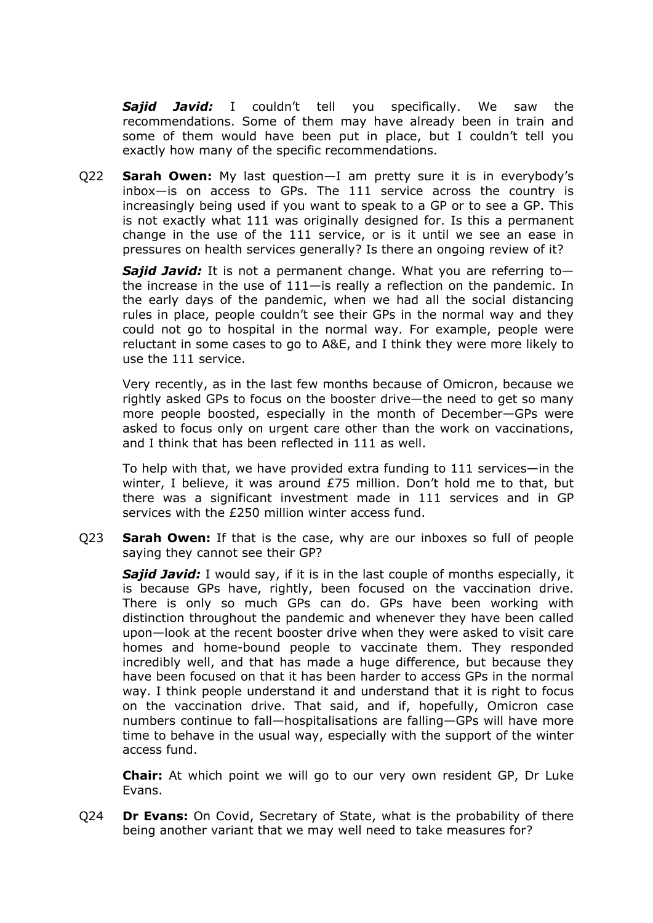*Sajid Javid:* I couldn't tell you specifically. We saw the recommendations. Some of them may have already been in train and some of them would have been put in place, but I couldn't tell you exactly how many of the specific recommendations.

Q22 **Sarah Owen:** My last question—I am pretty sure it is in everybody's inbox—is on access to GPs. The 111 service across the country is increasingly being used if you want to speak to a GP or to see a GP. This is not exactly what 111 was originally designed for. Is this a permanent change in the use of the 111 service, or is it until we see an ease in pressures on health services generally? Is there an ongoing review of it?

*Sajid Javid:* It is not a permanent change. What you are referring to the increase in the use of 111—is really a reflection on the pandemic. In the early days of the pandemic, when we had all the social distancing rules in place, people couldn't see their GPs in the normal way and they could not go to hospital in the normal way. For example, people were reluctant in some cases to go to A&E, and I think they were more likely to use the 111 service.

Very recently, as in the last few months because of Omicron, because we rightly asked GPs to focus on the booster drive—the need to get so many more people boosted, especially in the month of December—GPs were asked to focus only on urgent care other than the work on vaccinations, and I think that has been reflected in 111 as well.

To help with that, we have provided extra funding to 111 services—in the winter, I believe, it was around £75 million. Don't hold me to that, but there was a significant investment made in 111 services and in GP services with the £250 million winter access fund.

Q23 **Sarah Owen:** If that is the case, why are our inboxes so full of people saying they cannot see their GP?

**Sajid Javid:** I would say, if it is in the last couple of months especially, it is because GPs have, rightly, been focused on the vaccination drive. There is only so much GPs can do. GPs have been working with distinction throughout the pandemic and whenever they have been called upon—look at the recent booster drive when they were asked to visit care homes and home-bound people to vaccinate them. They responded incredibly well, and that has made a huge difference, but because they have been focused on that it has been harder to access GPs in the normal way. I think people understand it and understand that it is right to focus on the vaccination drive. That said, and if, hopefully, Omicron case numbers continue to fall—hospitalisations are falling—GPs will have more time to behave in the usual way, especially with the support of the winter access fund.

**Chair:** At which point we will go to our very own resident GP, Dr Luke Evans.

Q24 **Dr Evans:** On Covid, Secretary of State, what is the probability of there being another variant that we may well need to take measures for?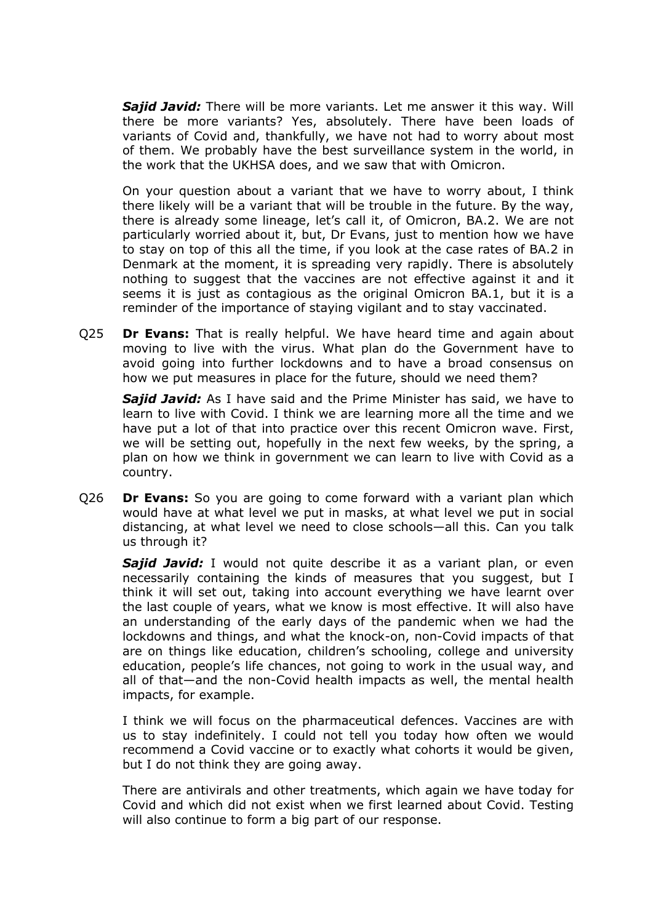*Sajid Javid:* There will be more variants. Let me answer it this way. Will there be more variants? Yes, absolutely. There have been loads of variants of Covid and, thankfully, we have not had to worry about most of them. We probably have the best surveillance system in the world, in the work that the UKHSA does, and we saw that with Omicron.

On your question about a variant that we have to worry about, I think there likely will be a variant that will be trouble in the future. By the way, there is already some lineage, let's call it, of Omicron, BA.2. We are not particularly worried about it, but, Dr Evans, just to mention how we have to stay on top of this all the time, if you look at the case rates of BA.2 in Denmark at the moment, it is spreading very rapidly. There is absolutely nothing to suggest that the vaccines are not effective against it and it seems it is just as contagious as the original Omicron BA.1, but it is a reminder of the importance of staying vigilant and to stay vaccinated.

Q25 **Dr Evans:** That is really helpful. We have heard time and again about moving to live with the virus. What plan do the Government have to avoid going into further lockdowns and to have a broad consensus on how we put measures in place for the future, should we need them?

*Sajid Javid:* As I have said and the Prime Minister has said, we have to learn to live with Covid. I think we are learning more all the time and we have put a lot of that into practice over this recent Omicron wave. First, we will be setting out, hopefully in the next few weeks, by the spring, a plan on how we think in government we can learn to live with Covid as a country.

Q26 **Dr Evans:** So you are going to come forward with a variant plan which would have at what level we put in masks, at what level we put in social distancing, at what level we need to close schools—all this. Can you talk us through it?

*Sajid Javid:* I would not quite describe it as a variant plan, or even necessarily containing the kinds of measures that you suggest, but I think it will set out, taking into account everything we have learnt over the last couple of years, what we know is most effective. It will also have an understanding of the early days of the pandemic when we had the lockdowns and things, and what the knock-on, non-Covid impacts of that are on things like education, children's schooling, college and university education, people's life chances, not going to work in the usual way, and all of that—and the non-Covid health impacts as well, the mental health impacts, for example.

I think we will focus on the pharmaceutical defences. Vaccines are with us to stay indefinitely. I could not tell you today how often we would recommend a Covid vaccine or to exactly what cohorts it would be given, but I do not think they are going away.

There are antivirals and other treatments, which again we have today for Covid and which did not exist when we first learned about Covid. Testing will also continue to form a big part of our response.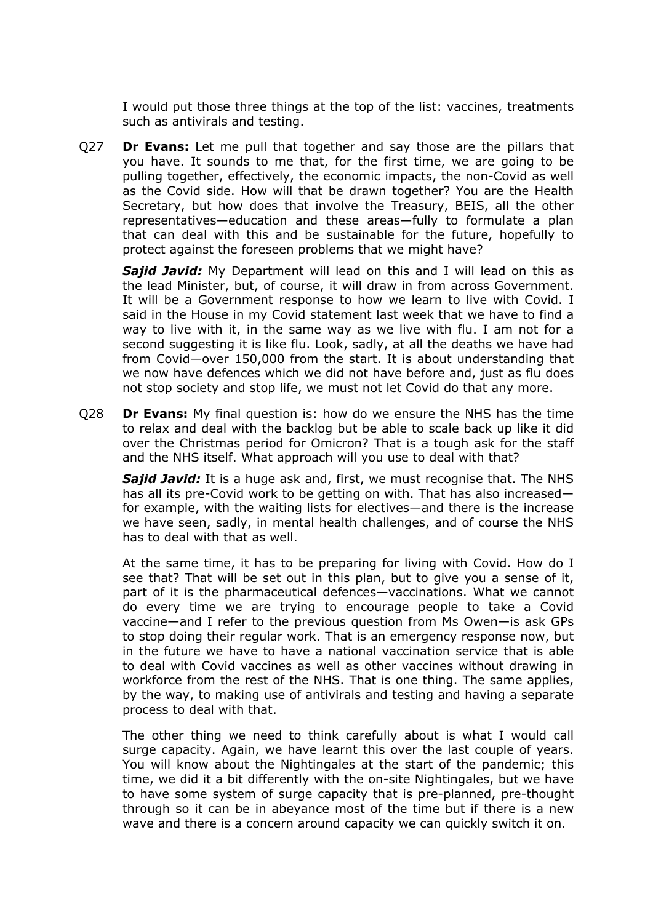I would put those three things at the top of the list: vaccines, treatments such as antivirals and testing.

Q27 **Dr Evans:** Let me pull that together and say those are the pillars that you have. It sounds to me that, for the first time, we are going to be pulling together, effectively, the economic impacts, the non-Covid as well as the Covid side. How will that be drawn together? You are the Health Secretary, but how does that involve the Treasury, BEIS, all the other representatives—education and these areas—fully to formulate a plan that can deal with this and be sustainable for the future, hopefully to protect against the foreseen problems that we might have?

**Sajid Javid:** My Department will lead on this and I will lead on this as the lead Minister, but, of course, it will draw in from across Government. It will be a Government response to how we learn to live with Covid. I said in the House in my Covid statement last week that we have to find a way to live with it, in the same way as we live with flu. I am not for a second suggesting it is like flu. Look, sadly, at all the deaths we have had from Covid—over 150,000 from the start. It is about understanding that we now have defences which we did not have before and, just as flu does not stop society and stop life, we must not let Covid do that any more.

Q28 **Dr Evans:** My final question is: how do we ensure the NHS has the time to relax and deal with the backlog but be able to scale back up like it did over the Christmas period for Omicron? That is a tough ask for the staff and the NHS itself. What approach will you use to deal with that?

*Sajid Javid:* It is a huge ask and, first, we must recognise that. The NHS has all its pre-Covid work to be getting on with. That has also increased for example, with the waiting lists for electives—and there is the increase we have seen, sadly, in mental health challenges, and of course the NHS has to deal with that as well.

At the same time, it has to be preparing for living with Covid. How do I see that? That will be set out in this plan, but to give you a sense of it, part of it is the pharmaceutical defences—vaccinations. What we cannot do every time we are trying to encourage people to take a Covid vaccine—and I refer to the previous question from Ms Owen—is ask GPs to stop doing their regular work. That is an emergency response now, but in the future we have to have a national vaccination service that is able to deal with Covid vaccines as well as other vaccines without drawing in workforce from the rest of the NHS. That is one thing. The same applies, by the way, to making use of antivirals and testing and having a separate process to deal with that.

The other thing we need to think carefully about is what I would call surge capacity. Again, we have learnt this over the last couple of years. You will know about the Nightingales at the start of the pandemic; this time, we did it a bit differently with the on-site Nightingales, but we have to have some system of surge capacity that is pre-planned, pre-thought through so it can be in abeyance most of the time but if there is a new wave and there is a concern around capacity we can quickly switch it on.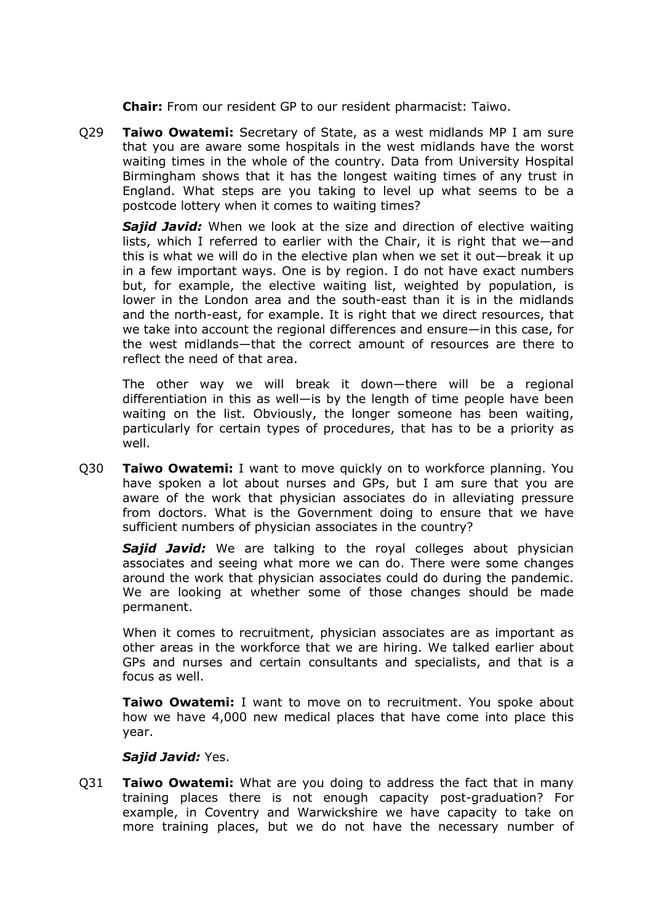**Chair:** From our resident GP to our resident pharmacist: Taiwo.

Q29 **Taiwo Owatemi:** Secretary of State, as a west midlands MP I am sure that you are aware some hospitals in the west midlands have the worst waiting times in the whole of the country. Data from University Hospital Birmingham shows that it has the longest waiting times of any trust in England. What steps are you taking to level up what seems to be a postcode lottery when it comes to waiting times?

*Sajid Javid:* When we look at the size and direction of elective waiting lists, which I referred to earlier with the Chair, it is right that we—and this is what we will do in the elective plan when we set it out—break it up in a few important ways. One is by region. I do not have exact numbers but, for example, the elective waiting list, weighted by population, is lower in the London area and the south-east than it is in the midlands and the north-east, for example. It is right that we direct resources, that we take into account the regional differences and ensure—in this case, for the west midlands—that the correct amount of resources are there to reflect the need of that area.

The other way we will break it down—there will be a regional differentiation in this as well—is by the length of time people have been waiting on the list. Obviously, the longer someone has been waiting, particularly for certain types of procedures, that has to be a priority as well.

Q30 **Taiwo Owatemi:** I want to move quickly on to workforce planning. You have spoken a lot about nurses and GPs, but I am sure that you are aware of the work that physician associates do in alleviating pressure from doctors. What is the Government doing to ensure that we have sufficient numbers of physician associates in the country?

*Sajid Javid:* We are talking to the royal colleges about physician associates and seeing what more we can do. There were some changes around the work that physician associates could do during the pandemic. We are looking at whether some of those changes should be made permanent.

When it comes to recruitment, physician associates are as important as other areas in the workforce that we are hiring. We talked earlier about GPs and nurses and certain consultants and specialists, and that is a focus as well.

**Taiwo Owatemi:** I want to move on to recruitment. You spoke about how we have 4,000 new medical places that have come into place this year.

## *Sajid Javid:* Yes.

Q31 **Taiwo Owatemi:** What are you doing to address the fact that in many training places there is not enough capacity post-graduation? For example, in Coventry and Warwickshire we have capacity to take on more training places, but we do not have the necessary number of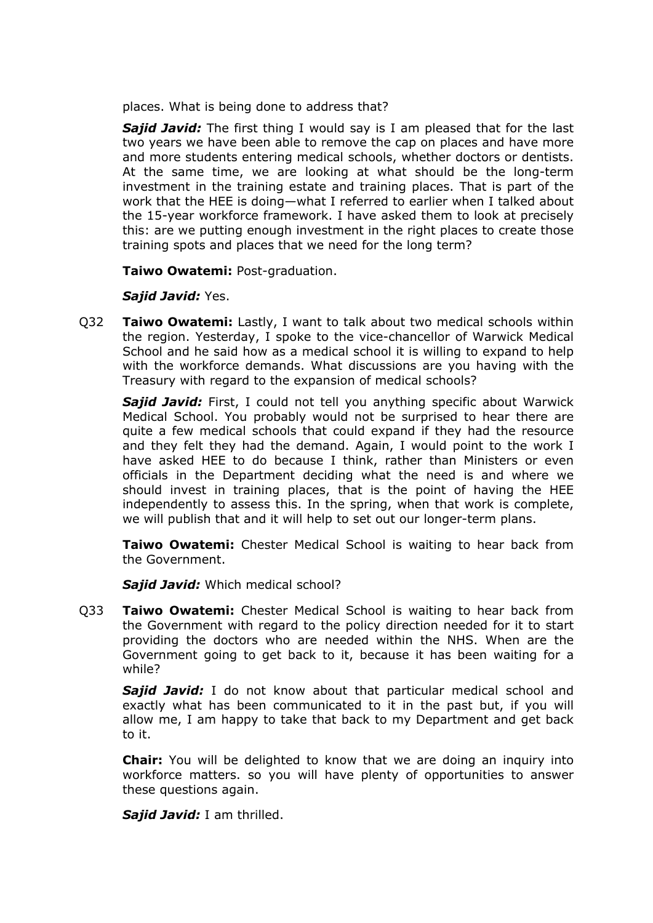places. What is being done to address that?

*Sajid Javid:* The first thing I would say is I am pleased that for the last two years we have been able to remove the cap on places and have more and more students entering medical schools, whether doctors or dentists. At the same time, we are looking at what should be the long-term investment in the training estate and training places. That is part of the work that the HEE is doing—what I referred to earlier when I talked about the 15-year workforce framework. I have asked them to look at precisely this: are we putting enough investment in the right places to create those training spots and places that we need for the long term?

**Taiwo Owatemi:** Post-graduation.

*Sajid Javid:* Yes.

Q32 **Taiwo Owatemi:** Lastly, I want to talk about two medical schools within the region. Yesterday, I spoke to the vice-chancellor of Warwick Medical School and he said how as a medical school it is willing to expand to help with the workforce demands. What discussions are you having with the Treasury with regard to the expansion of medical schools?

*Sajid Javid:* First, I could not tell you anything specific about Warwick Medical School. You probably would not be surprised to hear there are quite a few medical schools that could expand if they had the resource and they felt they had the demand. Again, I would point to the work I have asked HEE to do because I think, rather than Ministers or even officials in the Department deciding what the need is and where we should invest in training places, that is the point of having the HEE independently to assess this. In the spring, when that work is complete, we will publish that and it will help to set out our longer-term plans.

**Taiwo Owatemi:** Chester Medical School is waiting to hear back from the Government.

*Sajid Javid:* Which medical school?

Q33 **Taiwo Owatemi:** Chester Medical School is waiting to hear back from the Government with regard to the policy direction needed for it to start providing the doctors who are needed within the NHS. When are the Government going to get back to it, because it has been waiting for a while?

**Sajid Javid:** I do not know about that particular medical school and exactly what has been communicated to it in the past but, if you will allow me, I am happy to take that back to my Department and get back to it.

**Chair:** You will be delighted to know that we are doing an inquiry into workforce matters. so you will have plenty of opportunities to answer these questions again.

*Sajid Javid:* I am thrilled.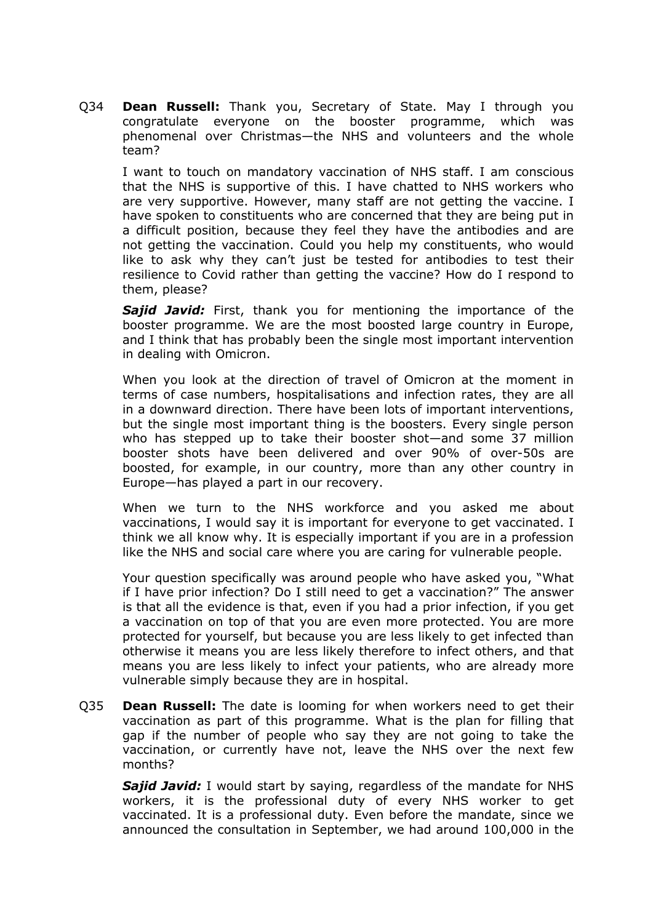Q34 **Dean Russell:** Thank you, Secretary of State. May I through you congratulate everyone on the booster programme, which was phenomenal over Christmas—the NHS and volunteers and the whole team?

I want to touch on mandatory vaccination of NHS staff. I am conscious that the NHS is supportive of this. I have chatted to NHS workers who are very supportive. However, many staff are not getting the vaccine. I have spoken to constituents who are concerned that they are being put in a difficult position, because they feel they have the antibodies and are not getting the vaccination. Could you help my constituents, who would like to ask why they can't just be tested for antibodies to test their resilience to Covid rather than getting the vaccine? How do I respond to them, please?

*Sajid Javid:* First, thank you for mentioning the importance of the booster programme. We are the most boosted large country in Europe, and I think that has probably been the single most important intervention in dealing with Omicron.

When you look at the direction of travel of Omicron at the moment in terms of case numbers, hospitalisations and infection rates, they are all in a downward direction. There have been lots of important interventions, but the single most important thing is the boosters. Every single person who has stepped up to take their booster shot—and some 37 million booster shots have been delivered and over 90% of over-50s are boosted, for example, in our country, more than any other country in Europe—has played a part in our recovery.

When we turn to the NHS workforce and you asked me about vaccinations, I would say it is important for everyone to get vaccinated. I think we all know why. It is especially important if you are in a profession like the NHS and social care where you are caring for vulnerable people.

Your question specifically was around people who have asked you, "What if I have prior infection? Do I still need to get a vaccination?" The answer is that all the evidence is that, even if you had a prior infection, if you get a vaccination on top of that you are even more protected. You are more protected for yourself, but because you are less likely to get infected than otherwise it means you are less likely therefore to infect others, and that means you are less likely to infect your patients, who are already more vulnerable simply because they are in hospital.

Q35 **Dean Russell:** The date is looming for when workers need to get their vaccination as part of this programme. What is the plan for filling that gap if the number of people who say they are not going to take the vaccination, or currently have not, leave the NHS over the next few months?

**Sajid Javid:** I would start by saving, regardless of the mandate for NHS workers, it is the professional duty of every NHS worker to get vaccinated. It is a professional duty. Even before the mandate, since we announced the consultation in September, we had around 100,000 in the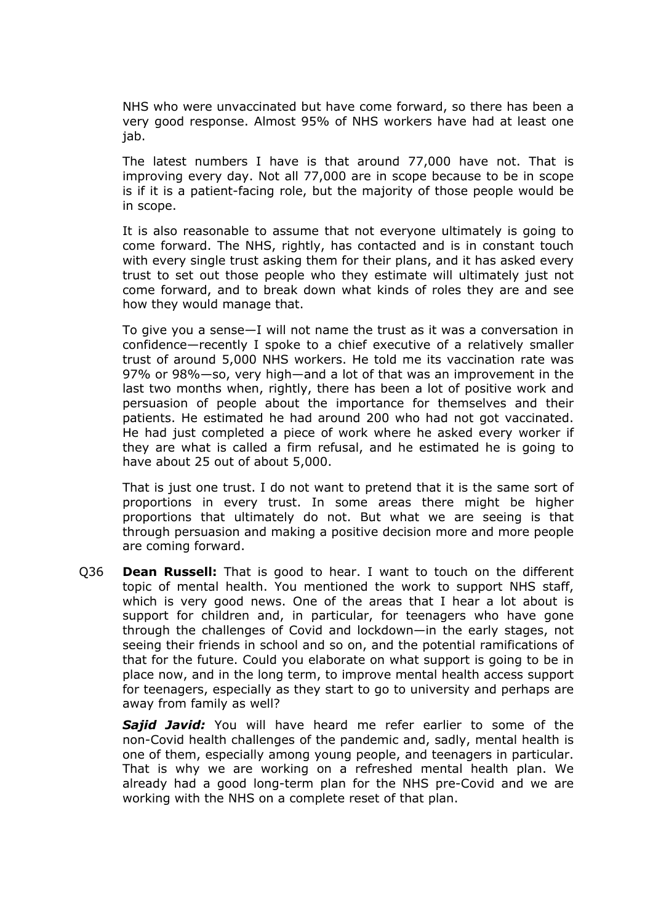NHS who were unvaccinated but have come forward, so there has been a very good response. Almost 95% of NHS workers have had at least one jab.

The latest numbers I have is that around 77,000 have not. That is improving every day. Not all 77,000 are in scope because to be in scope is if it is a patient-facing role, but the majority of those people would be in scope.

It is also reasonable to assume that not everyone ultimately is going to come forward. The NHS, rightly, has contacted and is in constant touch with every single trust asking them for their plans, and it has asked every trust to set out those people who they estimate will ultimately just not come forward, and to break down what kinds of roles they are and see how they would manage that.

To give you a sense—I will not name the trust as it was a conversation in confidence—recently I spoke to a chief executive of a relatively smaller trust of around 5,000 NHS workers. He told me its vaccination rate was 97% or 98%—so, very high—and a lot of that was an improvement in the last two months when, rightly, there has been a lot of positive work and persuasion of people about the importance for themselves and their patients. He estimated he had around 200 who had not got vaccinated. He had just completed a piece of work where he asked every worker if they are what is called a firm refusal, and he estimated he is going to have about 25 out of about 5,000.

That is just one trust. I do not want to pretend that it is the same sort of proportions in every trust. In some areas there might be higher proportions that ultimately do not. But what we are seeing is that through persuasion and making a positive decision more and more people are coming forward.

Q36 **Dean Russell:** That is good to hear. I want to touch on the different topic of mental health. You mentioned the work to support NHS staff, which is very good news. One of the areas that I hear a lot about is support for children and, in particular, for teenagers who have gone through the challenges of Covid and lockdown—in the early stages, not seeing their friends in school and so on, and the potential ramifications of that for the future. Could you elaborate on what support is going to be in place now, and in the long term, to improve mental health access support for teenagers, especially as they start to go to university and perhaps are away from family as well?

*Sajid Javid:* You will have heard me refer earlier to some of the non-Covid health challenges of the pandemic and, sadly, mental health is one of them, especially among young people, and teenagers in particular. That is why we are working on a refreshed mental health plan. We already had a good long-term plan for the NHS pre-Covid and we are working with the NHS on a complete reset of that plan.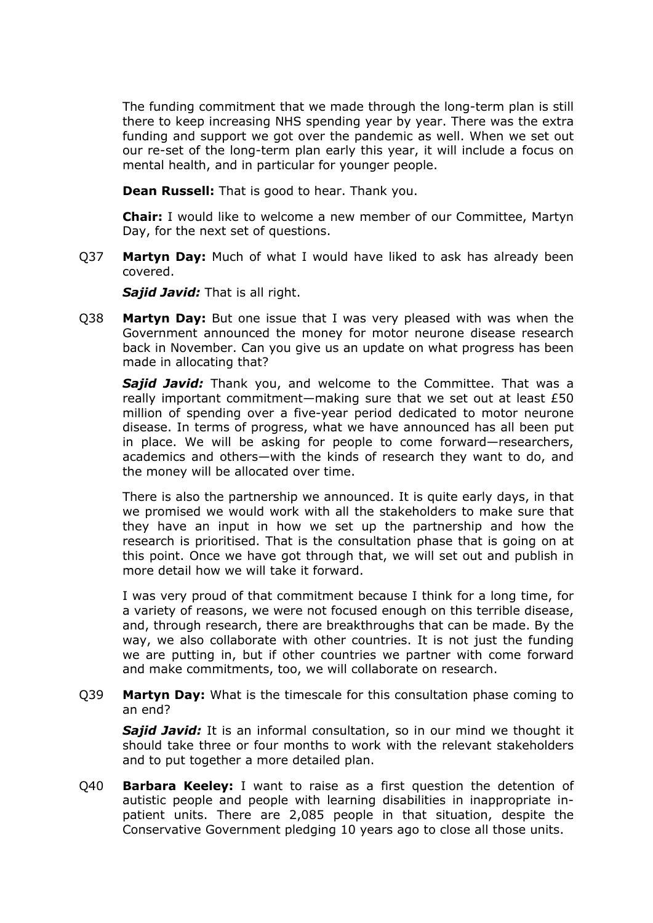The funding commitment that we made through the long-term plan is still there to keep increasing NHS spending year by year. There was the extra funding and support we got over the pandemic as well. When we set out our re-set of the long-term plan early this year, it will include a focus on mental health, and in particular for younger people.

**Dean Russell:** That is good to hear. Thank you.

**Chair:** I would like to welcome a new member of our Committee, Martyn Day, for the next set of questions.

Q37 **Martyn Day:** Much of what I would have liked to ask has already been covered.

*Sajid Javid:* That is all right.

Q38 **Martyn Day:** But one issue that I was very pleased with was when the Government announced the money for motor neurone disease research back in November. Can you give us an update on what progress has been made in allocating that?

*Sajid Javid:* Thank you, and welcome to the Committee. That was a really important commitment—making sure that we set out at least £50 million of spending over a five-year period dedicated to motor neurone disease. In terms of progress, what we have announced has all been put in place. We will be asking for people to come forward—researchers, academics and others—with the kinds of research they want to do, and the money will be allocated over time.

There is also the partnership we announced. It is quite early days, in that we promised we would work with all the stakeholders to make sure that they have an input in how we set up the partnership and how the research is prioritised. That is the consultation phase that is going on at this point. Once we have got through that, we will set out and publish in more detail how we will take it forward.

I was very proud of that commitment because I think for a long time, for a variety of reasons, we were not focused enough on this terrible disease, and, through research, there are breakthroughs that can be made. By the way, we also collaborate with other countries. It is not just the funding we are putting in, but if other countries we partner with come forward and make commitments, too, we will collaborate on research.

Q39 **Martyn Day:** What is the timescale for this consultation phase coming to an end?

*Sajid Javid:* It is an informal consultation, so in our mind we thought it should take three or four months to work with the relevant stakeholders and to put together a more detailed plan.

Q40 **Barbara Keeley:** I want to raise as a first question the detention of autistic people and people with learning disabilities in inappropriate inpatient units. There are 2,085 people in that situation, despite the Conservative Government pledging 10 years ago to close all those units.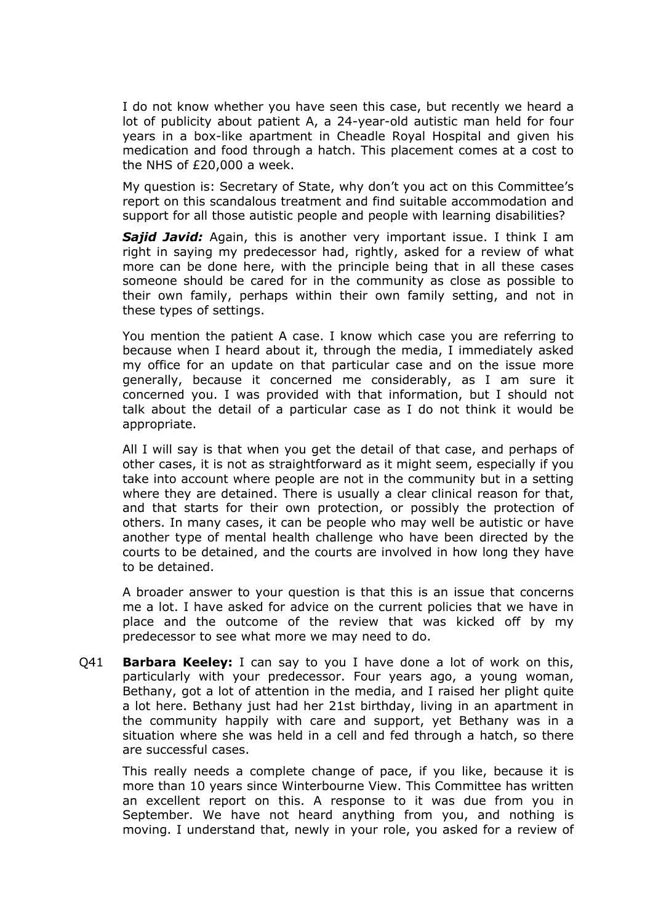I do not know whether you have seen this case, but recently we heard a lot of publicity about patient A, a 24-year-old autistic man held for four years in a box-like apartment in Cheadle Royal Hospital and given his medication and food through a hatch. This placement comes at a cost to the NHS of £20,000 a week.

My question is: Secretary of State, why don't you act on this Committee's report on this scandalous treatment and find suitable accommodation and support for all those autistic people and people with learning disabilities?

*Sajid Javid:* Again, this is another very important issue. I think I am right in saying my predecessor had, rightly, asked for a review of what more can be done here, with the principle being that in all these cases someone should be cared for in the community as close as possible to their own family, perhaps within their own family setting, and not in these types of settings.

You mention the patient A case. I know which case you are referring to because when I heard about it, through the media, I immediately asked my office for an update on that particular case and on the issue more generally, because it concerned me considerably, as I am sure it concerned you. I was provided with that information, but I should not talk about the detail of a particular case as I do not think it would be appropriate.

All I will say is that when you get the detail of that case, and perhaps of other cases, it is not as straightforward as it might seem, especially if you take into account where people are not in the community but in a setting where they are detained. There is usually a clear clinical reason for that, and that starts for their own protection, or possibly the protection of others. In many cases, it can be people who may well be autistic or have another type of mental health challenge who have been directed by the courts to be detained, and the courts are involved in how long they have to be detained.

A broader answer to your question is that this is an issue that concerns me a lot. I have asked for advice on the current policies that we have in place and the outcome of the review that was kicked off by my predecessor to see what more we may need to do.

Q41 **Barbara Keeley:** I can say to you I have done a lot of work on this, particularly with your predecessor. Four years ago, a young woman, Bethany, got a lot of attention in the media, and I raised her plight quite a lot here. Bethany just had her 21st birthday, living in an apartment in the community happily with care and support, yet Bethany was in a situation where she was held in a cell and fed through a hatch, so there are successful cases.

This really needs a complete change of pace, if you like, because it is more than 10 years since Winterbourne View. This Committee has written an excellent report on this. A response to it was due from you in September. We have not heard anything from you, and nothing is moving. I understand that, newly in your role, you asked for a review of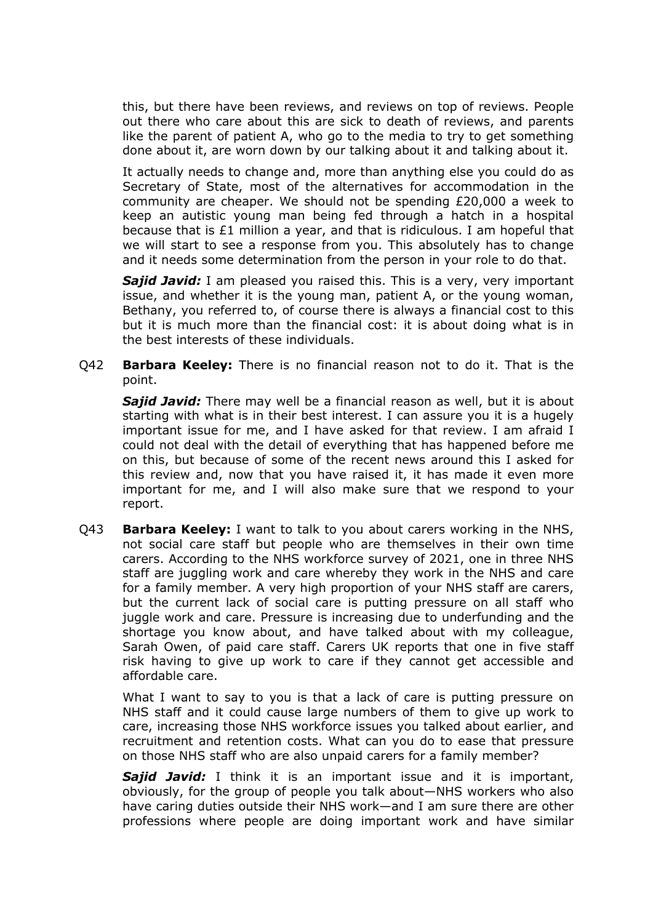this, but there have been reviews, and reviews on top of reviews. People out there who care about this are sick to death of reviews, and parents like the parent of patient A, who go to the media to try to get something done about it, are worn down by our talking about it and talking about it.

It actually needs to change and, more than anything else you could do as Secretary of State, most of the alternatives for accommodation in the community are cheaper. We should not be spending £20,000 a week to keep an autistic young man being fed through a hatch in a hospital because that is £1 million a year, and that is ridiculous. I am hopeful that we will start to see a response from you. This absolutely has to change and it needs some determination from the person in your role to do that.

**Sajid Javid:** I am pleased you raised this. This is a very, very important issue, and whether it is the young man, patient A, or the young woman, Bethany, you referred to, of course there is always a financial cost to this but it is much more than the financial cost: it is about doing what is in the best interests of these individuals.

Q42 **Barbara Keeley:** There is no financial reason not to do it. That is the point.

*Sajid Javid:* There may well be a financial reason as well, but it is about starting with what is in their best interest. I can assure you it is a hugely important issue for me, and I have asked for that review. I am afraid I could not deal with the detail of everything that has happened before me on this, but because of some of the recent news around this I asked for this review and, now that you have raised it, it has made it even more important for me, and I will also make sure that we respond to your report.

Q43 **Barbara Keeley:** I want to talk to you about carers working in the NHS, not social care staff but people who are themselves in their own time carers. According to the NHS workforce survey of 2021, one in three NHS staff are juggling work and care whereby they work in the NHS and care for a family member. A very high proportion of your NHS staff are carers, but the current lack of social care is putting pressure on all staff who juggle work and care. Pressure is increasing due to underfunding and the shortage you know about, and have talked about with my colleague, Sarah Owen, of paid care staff. Carers UK reports that one in five staff risk having to give up work to care if they cannot get accessible and affordable care.

What I want to say to you is that a lack of care is putting pressure on NHS staff and it could cause large numbers of them to give up work to care, increasing those NHS workforce issues you talked about earlier, and recruitment and retention costs. What can you do to ease that pressure on those NHS staff who are also unpaid carers for a family member?

*Sajid Javid:* I think it is an important issue and it is important, obviously, for the group of people you talk about—NHS workers who also have caring duties outside their NHS work—and I am sure there are other professions where people are doing important work and have similar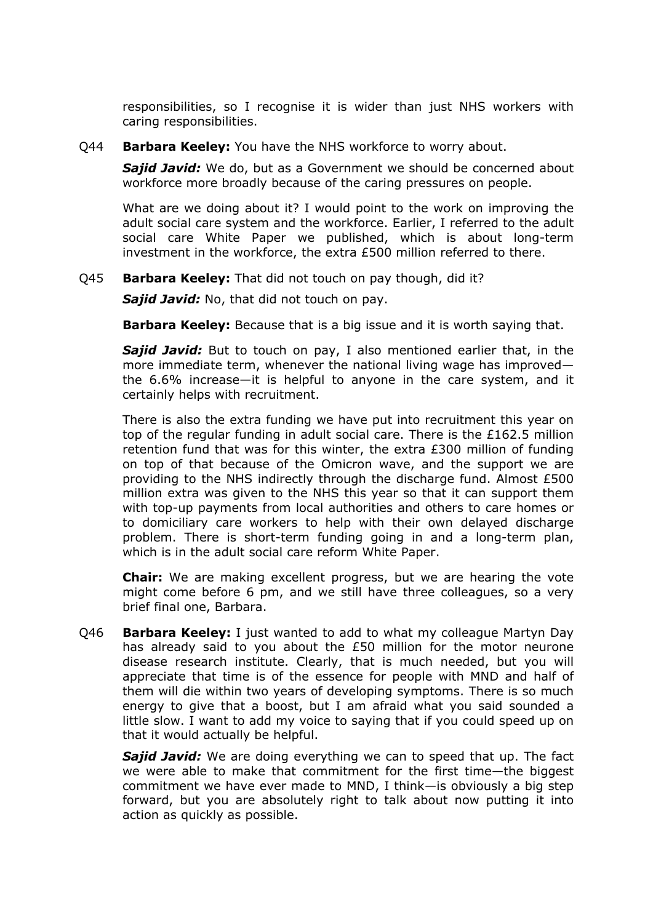responsibilities, so I recognise it is wider than just NHS workers with caring responsibilities.

Q44 **Barbara Keeley:** You have the NHS workforce to worry about.

*Sajid Javid:* We do, but as a Government we should be concerned about workforce more broadly because of the caring pressures on people.

What are we doing about it? I would point to the work on improving the adult social care system and the workforce. Earlier, I referred to the adult social care White Paper we published, which is about long-term investment in the workforce, the extra £500 million referred to there.

Q45 **Barbara Keeley:** That did not touch on pay though, did it?

*Sajid Javid:* No, that did not touch on pay.

**Barbara Keeley:** Because that is a big issue and it is worth saying that.

*Sajid Javid:* But to touch on pay, I also mentioned earlier that, in the more immediate term, whenever the national living wage has improved the 6.6% increase—it is helpful to anyone in the care system, and it certainly helps with recruitment.

There is also the extra funding we have put into recruitment this year on top of the regular funding in adult social care. There is the £162.5 million retention fund that was for this winter, the extra £300 million of funding on top of that because of the Omicron wave, and the support we are providing to the NHS indirectly through the discharge fund. Almost £500 million extra was given to the NHS this year so that it can support them with top-up payments from local authorities and others to care homes or to domiciliary care workers to help with their own delayed discharge problem. There is short-term funding going in and a long-term plan, which is in the adult social care reform White Paper.

**Chair:** We are making excellent progress, but we are hearing the vote might come before 6 pm, and we still have three colleagues, so a very brief final one, Barbara.

Q46 **Barbara Keeley:** I just wanted to add to what my colleague Martyn Day has already said to you about the £50 million for the motor neurone disease research institute. Clearly, that is much needed, but you will appreciate that time is of the essence for people with MND and half of them will die within two years of developing symptoms. There is so much energy to give that a boost, but I am afraid what you said sounded a little slow. I want to add my voice to saying that if you could speed up on that it would actually be helpful.

*Sajid Javid:* We are doing everything we can to speed that up. The fact we were able to make that commitment for the first time—the biggest commitment we have ever made to MND, I think—is obviously a big step forward, but you are absolutely right to talk about now putting it into action as quickly as possible.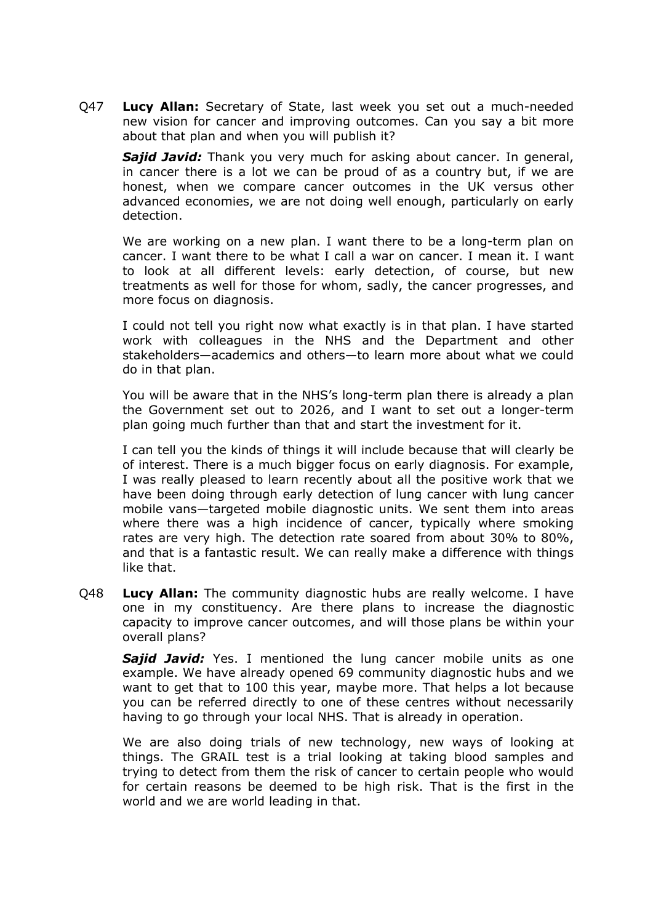Q47 **Lucy Allan:** Secretary of State, last week you set out a much-needed new vision for cancer and improving outcomes. Can you say a bit more about that plan and when you will publish it?

*Sajid Javid:* Thank you very much for asking about cancer. In general, in cancer there is a lot we can be proud of as a country but, if we are honest, when we compare cancer outcomes in the UK versus other advanced economies, we are not doing well enough, particularly on early detection.

We are working on a new plan. I want there to be a long-term plan on cancer. I want there to be what I call a war on cancer. I mean it. I want to look at all different levels: early detection, of course, but new treatments as well for those for whom, sadly, the cancer progresses, and more focus on diagnosis.

I could not tell you right now what exactly is in that plan. I have started work with colleagues in the NHS and the Department and other stakeholders—academics and others—to learn more about what we could do in that plan.

You will be aware that in the NHS's long-term plan there is already a plan the Government set out to 2026, and I want to set out a longer-term plan going much further than that and start the investment for it.

I can tell you the kinds of things it will include because that will clearly be of interest. There is a much bigger focus on early diagnosis. For example, I was really pleased to learn recently about all the positive work that we have been doing through early detection of lung cancer with lung cancer mobile vans—targeted mobile diagnostic units. We sent them into areas where there was a high incidence of cancer, typically where smoking rates are very high. The detection rate soared from about 30% to 80%, and that is a fantastic result. We can really make a difference with things like that.

Q48 **Lucy Allan:** The community diagnostic hubs are really welcome. I have one in my constituency. Are there plans to increase the diagnostic capacity to improve cancer outcomes, and will those plans be within your overall plans?

*Sajid Javid:* Yes. I mentioned the lung cancer mobile units as one example. We have already opened 69 community diagnostic hubs and we want to get that to 100 this year, maybe more. That helps a lot because you can be referred directly to one of these centres without necessarily having to go through your local NHS. That is already in operation.

We are also doing trials of new technology, new ways of looking at things. The GRAIL test is a trial looking at taking blood samples and trying to detect from them the risk of cancer to certain people who would for certain reasons be deemed to be high risk. That is the first in the world and we are world leading in that.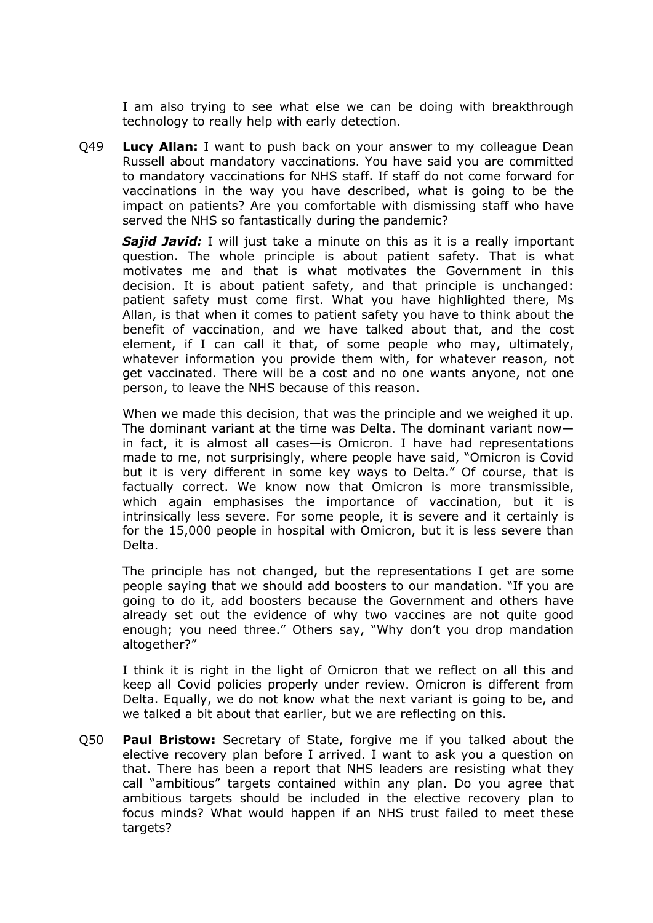I am also trying to see what else we can be doing with breakthrough technology to really help with early detection.

Q49 **Lucy Allan:** I want to push back on your answer to my colleague Dean Russell about mandatory vaccinations. You have said you are committed to mandatory vaccinations for NHS staff. If staff do not come forward for vaccinations in the way you have described, what is going to be the impact on patients? Are you comfortable with dismissing staff who have served the NHS so fantastically during the pandemic?

*Sajid Javid:* I will just take a minute on this as it is a really important question. The whole principle is about patient safety. That is what motivates me and that is what motivates the Government in this decision. It is about patient safety, and that principle is unchanged: patient safety must come first. What you have highlighted there, Ms Allan, is that when it comes to patient safety you have to think about the benefit of vaccination, and we have talked about that, and the cost element, if I can call it that, of some people who may, ultimately, whatever information you provide them with, for whatever reason, not get vaccinated. There will be a cost and no one wants anyone, not one person, to leave the NHS because of this reason.

When we made this decision, that was the principle and we weighed it up. The dominant variant at the time was Delta. The dominant variant now in fact, it is almost all cases—is Omicron. I have had representations made to me, not surprisingly, where people have said, "Omicron is Covid but it is very different in some key ways to Delta." Of course, that is factually correct. We know now that Omicron is more transmissible, which again emphasises the importance of vaccination, but it is intrinsically less severe. For some people, it is severe and it certainly is for the 15,000 people in hospital with Omicron, but it is less severe than Delta.

The principle has not changed, but the representations I get are some people saying that we should add boosters to our mandation. "If you are going to do it, add boosters because the Government and others have already set out the evidence of why two vaccines are not quite good enough; you need three." Others say, "Why don't you drop mandation altogether?"

I think it is right in the light of Omicron that we reflect on all this and keep all Covid policies properly under review. Omicron is different from Delta. Equally, we do not know what the next variant is going to be, and we talked a bit about that earlier, but we are reflecting on this.

Q50 **Paul Bristow:** Secretary of State, forgive me if you talked about the elective recovery plan before I arrived. I want to ask you a question on that. There has been a report that NHS leaders are resisting what they call "ambitious" targets contained within any plan. Do you agree that ambitious targets should be included in the elective recovery plan to focus minds? What would happen if an NHS trust failed to meet these targets?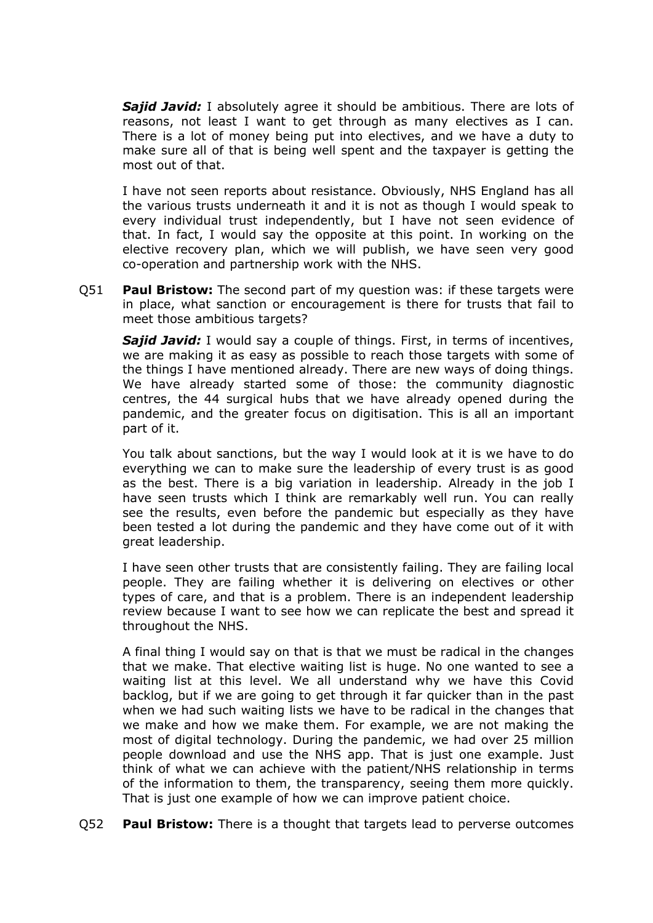*Sajid Javid:* I absolutely agree it should be ambitious. There are lots of reasons, not least I want to get through as many electives as I can. There is a lot of money being put into electives, and we have a duty to make sure all of that is being well spent and the taxpayer is getting the most out of that.

I have not seen reports about resistance. Obviously, NHS England has all the various trusts underneath it and it is not as though I would speak to every individual trust independently, but I have not seen evidence of that. In fact, I would say the opposite at this point. In working on the elective recovery plan, which we will publish, we have seen very good co-operation and partnership work with the NHS.

Q51 **Paul Bristow:** The second part of my question was: if these targets were in place, what sanction or encouragement is there for trusts that fail to meet those ambitious targets?

**Sajid Javid:** I would say a couple of things. First, in terms of incentives, we are making it as easy as possible to reach those targets with some of the things I have mentioned already. There are new ways of doing things. We have already started some of those: the community diagnostic centres, the 44 surgical hubs that we have already opened during the pandemic, and the greater focus on digitisation. This is all an important part of it.

You talk about sanctions, but the way I would look at it is we have to do everything we can to make sure the leadership of every trust is as good as the best. There is a big variation in leadership. Already in the job I have seen trusts which I think are remarkably well run. You can really see the results, even before the pandemic but especially as they have been tested a lot during the pandemic and they have come out of it with great leadership.

I have seen other trusts that are consistently failing. They are failing local people. They are failing whether it is delivering on electives or other types of care, and that is a problem. There is an independent leadership review because I want to see how we can replicate the best and spread it throughout the NHS.

A final thing I would say on that is that we must be radical in the changes that we make. That elective waiting list is huge. No one wanted to see a waiting list at this level. We all understand why we have this Covid backlog, but if we are going to get through it far quicker than in the past when we had such waiting lists we have to be radical in the changes that we make and how we make them. For example, we are not making the most of digital technology. During the pandemic, we had over 25 million people download and use the NHS app. That is just one example. Just think of what we can achieve with the patient/NHS relationship in terms of the information to them, the transparency, seeing them more quickly. That is just one example of how we can improve patient choice.

Q52 **Paul Bristow:** There is a thought that targets lead to perverse outcomes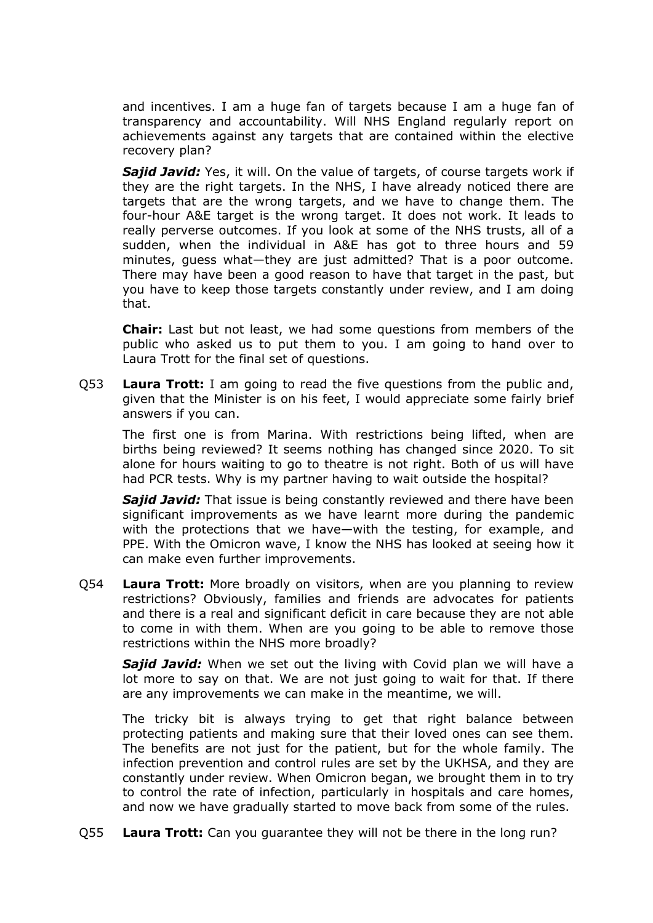and incentives. I am a huge fan of targets because I am a huge fan of transparency and accountability. Will NHS England regularly report on achievements against any targets that are contained within the elective recovery plan?

*Sajid Javid:* Yes, it will. On the value of targets, of course targets work if they are the right targets. In the NHS, I have already noticed there are targets that are the wrong targets, and we have to change them. The four-hour A&E target is the wrong target. It does not work. It leads to really perverse outcomes. If you look at some of the NHS trusts, all of a sudden, when the individual in A&E has got to three hours and 59 minutes, guess what—they are just admitted? That is a poor outcome. There may have been a good reason to have that target in the past, but you have to keep those targets constantly under review, and I am doing that.

**Chair:** Last but not least, we had some questions from members of the public who asked us to put them to you. I am going to hand over to Laura Trott for the final set of questions.

Q53 **Laura Trott:** I am going to read the five questions from the public and, given that the Minister is on his feet, I would appreciate some fairly brief answers if you can.

The first one is from Marina. With restrictions being lifted, when are births being reviewed? It seems nothing has changed since 2020. To sit alone for hours waiting to go to theatre is not right. Both of us will have had PCR tests. Why is my partner having to wait outside the hospital?

*Sajid Javid:* That issue is being constantly reviewed and there have been significant improvements as we have learnt more during the pandemic with the protections that we have—with the testing, for example, and PPE. With the Omicron wave, I know the NHS has looked at seeing how it can make even further improvements.

Q54 **Laura Trott:** More broadly on visitors, when are you planning to review restrictions? Obviously, families and friends are advocates for patients and there is a real and significant deficit in care because they are not able to come in with them. When are you going to be able to remove those restrictions within the NHS more broadly?

*Sajid Javid:* When we set out the living with Covid plan we will have a lot more to say on that. We are not just going to wait for that. If there are any improvements we can make in the meantime, we will.

The tricky bit is always trying to get that right balance between protecting patients and making sure that their loved ones can see them. The benefits are not just for the patient, but for the whole family. The infection prevention and control rules are set by the UKHSA, and they are constantly under review. When Omicron began, we brought them in to try to control the rate of infection, particularly in hospitals and care homes, and now we have gradually started to move back from some of the rules.

Q55 **Laura Trott:** Can you guarantee they will not be there in the long run?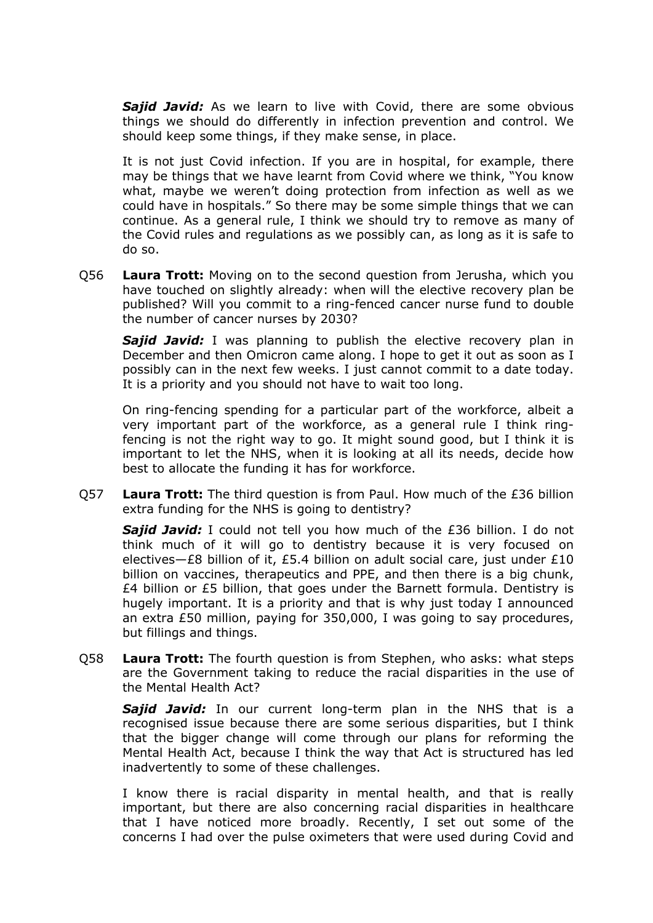*Sajid Javid:* As we learn to live with Covid, there are some obvious things we should do differently in infection prevention and control. We should keep some things, if they make sense, in place.

It is not just Covid infection. If you are in hospital, for example, there may be things that we have learnt from Covid where we think, "You know what, maybe we weren't doing protection from infection as well as we could have in hospitals." So there may be some simple things that we can continue. As a general rule, I think we should try to remove as many of the Covid rules and regulations as we possibly can, as long as it is safe to do so.

Q56 **Laura Trott:** Moving on to the second question from Jerusha, which you have touched on slightly already: when will the elective recovery plan be published? Will you commit to a ring-fenced cancer nurse fund to double the number of cancer nurses by 2030?

*Sajid Javid:* I was planning to publish the elective recovery plan in December and then Omicron came along. I hope to get it out as soon as I possibly can in the next few weeks. I just cannot commit to a date today. It is a priority and you should not have to wait too long.

On ring-fencing spending for a particular part of the workforce, albeit a very important part of the workforce, as a general rule I think ringfencing is not the right way to go. It might sound good, but I think it is important to let the NHS, when it is looking at all its needs, decide how best to allocate the funding it has for workforce.

Q57 **Laura Trott:** The third question is from Paul. How much of the £36 billion extra funding for the NHS is going to dentistry?

**Sajid Javid:** I could not tell you how much of the £36 billion. I do not think much of it will go to dentistry because it is very focused on electives—£8 billion of it, £5.4 billion on adult social care, just under £10 billion on vaccines, therapeutics and PPE, and then there is a big chunk, £4 billion or £5 billion, that goes under the Barnett formula. Dentistry is hugely important. It is a priority and that is why just today I announced an extra £50 million, paying for 350,000, I was going to say procedures, but fillings and things.

Q58 **Laura Trott:** The fourth question is from Stephen, who asks: what steps are the Government taking to reduce the racial disparities in the use of the Mental Health Act?

*Sajid Javid:* In our current long-term plan in the NHS that is a recognised issue because there are some serious disparities, but I think that the bigger change will come through our plans for reforming the Mental Health Act, because I think the way that Act is structured has led inadvertently to some of these challenges.

I know there is racial disparity in mental health, and that is really important, but there are also concerning racial disparities in healthcare that I have noticed more broadly. Recently, I set out some of the concerns I had over the pulse oximeters that were used during Covid and